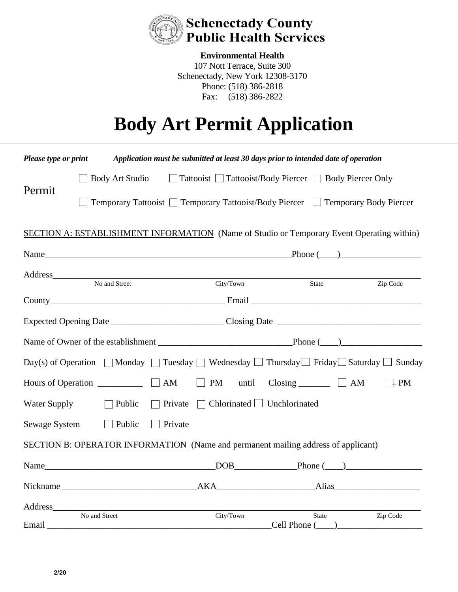

**Environmental Health**  107 Nott Terrace, Suite 300 Schenectady, New York 12308-3170 Phone: (518) 386-2818 Fax: (518) 386-2822

## **Body Art Permit Application**

| Application must be submitted at least 30 days prior to intended date of operation<br>Please type or print                    |                                                                                                                      |           |                                                                                 |           |  |
|-------------------------------------------------------------------------------------------------------------------------------|----------------------------------------------------------------------------------------------------------------------|-----------|---------------------------------------------------------------------------------|-----------|--|
|                                                                                                                               |                                                                                                                      |           | Body Art Studio <u>Γ</u> Tattooist Γ Tattooist/Body Piercer Γ Body Piercer Only |           |  |
| Permit<br>Temporary Tattooist □ Temporary Tattooist/Body Piercer □ Temporary Body Piercer                                     |                                                                                                                      |           |                                                                                 |           |  |
| SECTION A: ESTABLISHMENT INFORMATION (Name of Studio or Temporary Event Operating within)                                     |                                                                                                                      |           |                                                                                 |           |  |
|                                                                                                                               |                                                                                                                      |           |                                                                                 |           |  |
| Address<br>No and Street                                                                                                      | <u> 2008 - Jan James James Barnett, fransk politik (d. 1888)</u>                                                     | City/Town | State                                                                           | Zip Code  |  |
|                                                                                                                               |                                                                                                                      |           |                                                                                 |           |  |
|                                                                                                                               |                                                                                                                      |           |                                                                                 |           |  |
|                                                                                                                               |                                                                                                                      |           |                                                                                 |           |  |
| Day(s) of Operation $\Box$ Monday $\Box$ Tuesday $\Box$ Wednesday $\Box$ Thursday $\Box$ Friday $\Box$ Saturday $\Box$ Sunday |                                                                                                                      |           |                                                                                 |           |  |
|                                                                                                                               |                                                                                                                      |           | until $\text{Closing}$ $\Box$ AM                                                | $\Box$ PM |  |
| $\Box$ Private $\Box$ Chlorinated $\Box$ Unchlorinated<br>Water Supply<br>$\Box$ Public                                       |                                                                                                                      |           |                                                                                 |           |  |
| Sewage System                                                                                                                 | $\Box$ Public<br>Private<br>$\Box$                                                                                   |           |                                                                                 |           |  |
| <b>SECTION B: OPERATOR INFORMATION</b> (Name and permanent mailing address of applicant)                                      |                                                                                                                      |           |                                                                                 |           |  |
|                                                                                                                               |                                                                                                                      |           |                                                                                 |           |  |
| Nickname AKA Alias                                                                                                            |                                                                                                                      |           |                                                                                 |           |  |
| No and Street                                                                                                                 | <u> 1989 - Johann Barn, mars eta bat erroman erroman erroman erroman erroman erroman erroman erroman erroman err</u> | City/Town | State                                                                           | Zip Code  |  |
| Email                                                                                                                         |                                                                                                                      |           | $Cell$ Phone $(\_\_)$                                                           |           |  |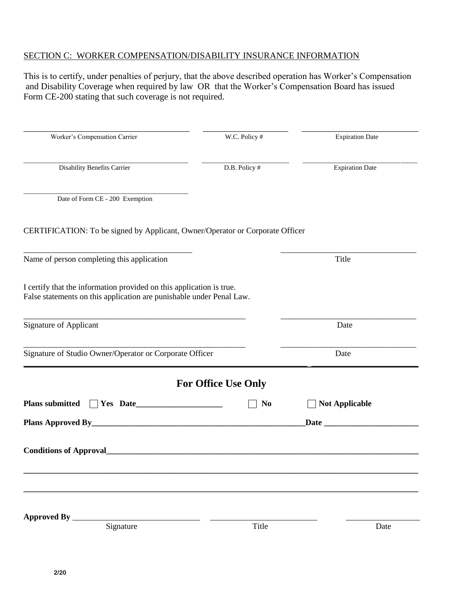## SECTION C: WORKER COMPENSATION/DISABILITY INSURANCE INFORMATION

This is to certify, under penalties of perjury, that the above described operation has Worker's Compensation and Disability Coverage when required by law OR that the Worker's Compensation Board has issued Form CE-200 stating that such coverage is not required.

| Worker's Compensation Carrier                                                                                                                | W.C. Policy #              | <b>Expiration Date</b> |  |
|----------------------------------------------------------------------------------------------------------------------------------------------|----------------------------|------------------------|--|
| Disability Benefits Carrier                                                                                                                  | D.B. Policy #              | <b>Expiration Date</b> |  |
| Date of Form CE - 200 Exemption                                                                                                              |                            |                        |  |
| CERTIFICATION: To be signed by Applicant, Owner/Operator or Corporate Officer                                                                |                            |                        |  |
| Name of person completing this application                                                                                                   | Title                      |                        |  |
| I certify that the information provided on this application is true.<br>False statements on this application are punishable under Penal Law. |                            |                        |  |
| <b>Signature of Applicant</b>                                                                                                                | Date                       |                        |  |
| Signature of Studio Owner/Operator or Corporate Officer                                                                                      | Date                       |                        |  |
|                                                                                                                                              | <b>For Office Use Only</b> |                        |  |
| <b>Plans submitted</b>                                                                                                                       | N <sub>0</sub>             | <b>Not Applicable</b>  |  |
| Plans Approved By                                                                                                                            |                            |                        |  |
| <b>Conditions of Approval</b>                                                                                                                |                            |                        |  |
|                                                                                                                                              |                            |                        |  |
| <b>Approved By</b><br>Signature                                                                                                              | Title                      | Date                   |  |